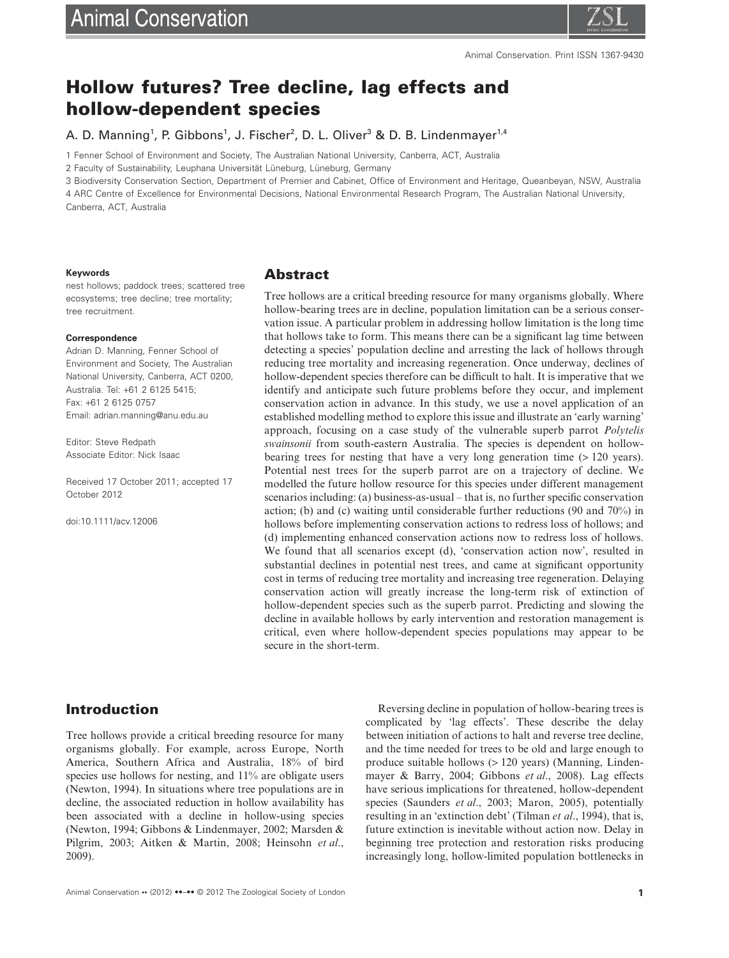# **Hollow futures? Tree decline, lag effects and hollow-dependent species**

A. D. Manning<sup>1</sup>, P. Gibbons<sup>1</sup>, J. Fischer<sup>2</sup>, D. L. Oliver<sup>3</sup> & D. B. Lindenmayer<sup>1,4</sup>

1 Fenner School of Environment and Society, The Australian National University, Canberra, ACT, Australia

2 Faculty of Sustainability, Leuphana Universität Lüneburg, Lüneburg, Germany

3 Biodiversity Conservation Section, Department of Premier and Cabinet, Office of Environment and Heritage, Queanbeyan, NSW, Australia

4 ARC Centre of Excellence for Environmental Decisions, National Environmental Research Program, The Australian National University, Canberra, ACT, Australia

#### **Keywords**

#### nest hollows; paddock trees; scattered tree ecosystems; tree decline; tree mortality; tree recruitment.

#### **Correspondence**

Adrian D. Manning, Fenner School of Environment and Society, The Australian National University, Canberra, ACT 0200, Australia. Tel: +61 2 6125 5415; Fax: +61 2 6125 0757 Email: adrian.manning@anu.edu.au

Editor: Steve Redpath Associate Editor: Nick Isaac

Received 17 October 2011; accepted 17 October 2012

doi:10.1111/acv.12006

#### **Abstract**

Tree hollows are a critical breeding resource for many organisms globally. Where hollow-bearing trees are in decline, population limitation can be a serious conservation issue. A particular problem in addressing hollow limitation is the long time that hollows take to form. This means there can be a significant lag time between detecting a species' population decline and arresting the lack of hollows through reducing tree mortality and increasing regeneration. Once underway, declines of hollow-dependent species therefore can be difficult to halt. It is imperative that we identify and anticipate such future problems before they occur, and implement conservation action in advance. In this study, we use a novel application of an established modelling method to explore this issue and illustrate an 'early warning' approach, focusing on a case study of the vulnerable superb parrot *Polytelis swainsonii* from south-eastern Australia. The species is dependent on hollowbearing trees for nesting that have a very long generation time (> 120 years). Potential nest trees for the superb parrot are on a trajectory of decline. We modelled the future hollow resource for this species under different management scenarios including: (a) business-as-usual – that is, no further specific conservation action; (b) and (c) waiting until considerable further reductions (90 and 70%) in hollows before implementing conservation actions to redress loss of hollows; and (d) implementing enhanced conservation actions now to redress loss of hollows. We found that all scenarios except (d), 'conservation action now', resulted in substantial declines in potential nest trees, and came at significant opportunity cost in terms of reducing tree mortality and increasing tree regeneration. Delaying conservation action will greatly increase the long-term risk of extinction of hollow-dependent species such as the superb parrot. Predicting and slowing the decline in available hollows by early intervention and restoration management is critical, even where hollow-dependent species populations may appear to be secure in the short-term.

# **Introduction**

Tree hollows provide a critical breeding resource for many organisms globally. For example, across Europe, North America, Southern Africa and Australia, 18% of bird species use hollows for nesting, and 11% are obligate users (Newton, 1994). In situations where tree populations are in decline, the associated reduction in hollow availability has been associated with a decline in hollow-using species (Newton, 1994; Gibbons & Lindenmayer, 2002; Marsden & Pilgrim, 2003; Aitken & Martin, 2008; Heinsohn *et al*., 2009).

produce suitable hollows (> 120 years) (Manning, Lindenmayer & Barry, 2004; Gibbons *et al*., 2008). Lag effects have serious implications for threatened, hollow-dependent species (Saunders *et al*., 2003; Maron, 2005), potentially resulting in an 'extinction debt' (Tilman *et al*., 1994), that is, future extinction is inevitable without action now. Delay in beginning tree protection and restoration risks producing increasingly long, hollow-limited population bottlenecks in

Reversing decline in population of hollow-bearing trees is complicated by 'lag effects'. These describe the delay between initiation of actions to halt and reverse tree decline, and the time needed for trees to be old and large enough to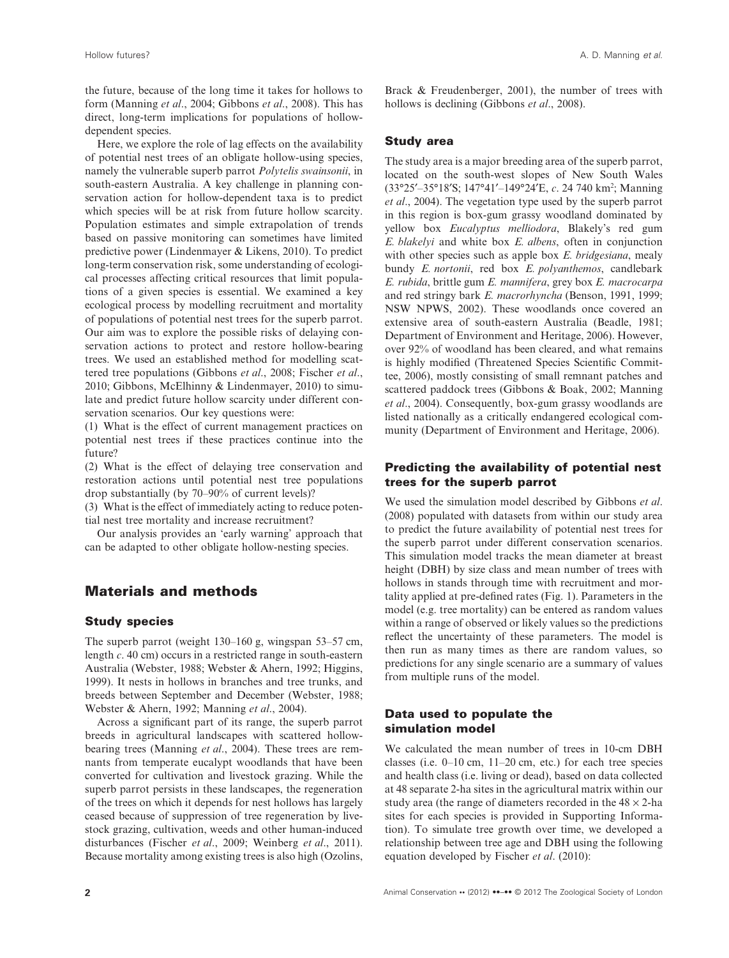the future, because of the long time it takes for hollows to form (Manning *et al*., 2004; Gibbons *et al*., 2008). This has direct, long-term implications for populations of hollowdependent species.

Here, we explore the role of lag effects on the availability of potential nest trees of an obligate hollow-using species, namely the vulnerable superb parrot *Polytelis swainsonii*, in south-eastern Australia. A key challenge in planning conservation action for hollow-dependent taxa is to predict which species will be at risk from future hollow scarcity. Population estimates and simple extrapolation of trends based on passive monitoring can sometimes have limited predictive power (Lindenmayer & Likens, 2010). To predict long-term conservation risk, some understanding of ecological processes affecting critical resources that limit populations of a given species is essential. We examined a key ecological process by modelling recruitment and mortality of populations of potential nest trees for the superb parrot. Our aim was to explore the possible risks of delaying conservation actions to protect and restore hollow-bearing trees. We used an established method for modelling scattered tree populations (Gibbons *et al*., 2008; Fischer *et al*., 2010; Gibbons, McElhinny & Lindenmayer, 2010) to simulate and predict future hollow scarcity under different conservation scenarios. Our key questions were:

(1) What is the effect of current management practices on potential nest trees if these practices continue into the future?

(2) What is the effect of delaying tree conservation and restoration actions until potential nest tree populations drop substantially (by 70–90% of current levels)?

(3) What is the effect of immediately acting to reduce potential nest tree mortality and increase recruitment?

Our analysis provides an 'early warning' approach that can be adapted to other obligate hollow-nesting species.

# **Materials and methods**

#### **Study species**

The superb parrot (weight 130–160 g, wingspan 53–57 cm, length *c*. 40 cm) occurs in a restricted range in south-eastern Australia (Webster, 1988; Webster & Ahern, 1992; Higgins, 1999). It nests in hollows in branches and tree trunks, and breeds between September and December (Webster, 1988; Webster & Ahern, 1992; Manning *et al*., 2004).

Across a significant part of its range, the superb parrot breeds in agricultural landscapes with scattered hollowbearing trees (Manning *et al*., 2004). These trees are remnants from temperate eucalypt woodlands that have been converted for cultivation and livestock grazing. While the superb parrot persists in these landscapes, the regeneration of the trees on which it depends for nest hollows has largely ceased because of suppression of tree regeneration by livestock grazing, cultivation, weeds and other human-induced disturbances (Fischer *et al*., 2009; Weinberg *et al*., 2011). Because mortality among existing trees is also high (Ozolins,

Brack & Freudenberger, 2001), the number of trees with hollows is declining (Gibbons *et al*., 2008).

#### **Study area**

The study area is a major breeding area of the superb parrot, located on the south-west slopes of New South Wales (33°25′–35°18′S; 147°41′–149°24′E, *c*. 24 740 km2 ; Manning *et al*., 2004). The vegetation type used by the superb parrot in this region is box-gum grassy woodland dominated by yellow box *Eucalyptus melliodora*, Blakely's red gum *E. blakelyi* and white box *E. albens*, often in conjunction with other species such as apple box *E. bridgesiana*, mealy bundy *E. nortonii*, red box *E. polyanthemos*, candlebark *E. rubida*, brittle gum *E. mannifera*, grey box *E. macrocarpa* and red stringy bark *E. macrorhyncha* (Benson, 1991, 1999; NSW NPWS, 2002). These woodlands once covered an extensive area of south-eastern Australia (Beadle, 1981; Department of Environment and Heritage, 2006). However, over 92% of woodland has been cleared, and what remains is highly modified (Threatened Species Scientific Committee, 2006), mostly consisting of small remnant patches and scattered paddock trees (Gibbons & Boak, 2002; Manning *et al*., 2004). Consequently, box-gum grassy woodlands are listed nationally as a critically endangered ecological community (Department of Environment and Heritage, 2006).

### **Predicting the availability of potential nest trees for the superb parrot**

We used the simulation model described by Gibbons *et al*. (2008) populated with datasets from within our study area to predict the future availability of potential nest trees for the superb parrot under different conservation scenarios. This simulation model tracks the mean diameter at breast height (DBH) by size class and mean number of trees with hollows in stands through time with recruitment and mortality applied at pre-defined rates (Fig. 1). Parameters in the model (e.g. tree mortality) can be entered as random values within a range of observed or likely values so the predictions reflect the uncertainty of these parameters. The model is then run as many times as there are random values, so predictions for any single scenario are a summary of values from multiple runs of the model.

### **Data used to populate the simulation model**

We calculated the mean number of trees in 10-cm DBH classes (i.e. 0–10 cm, 11–20 cm, etc.) for each tree species and health class (i.e. living or dead), based on data collected at 48 separate 2-ha sites in the agricultural matrix within our study area (the range of diameters recorded in the  $48 \times 2$ -ha sites for each species is provided in Supporting Information). To simulate tree growth over time, we developed a relationship between tree age and DBH using the following equation developed by Fischer *et al*. (2010):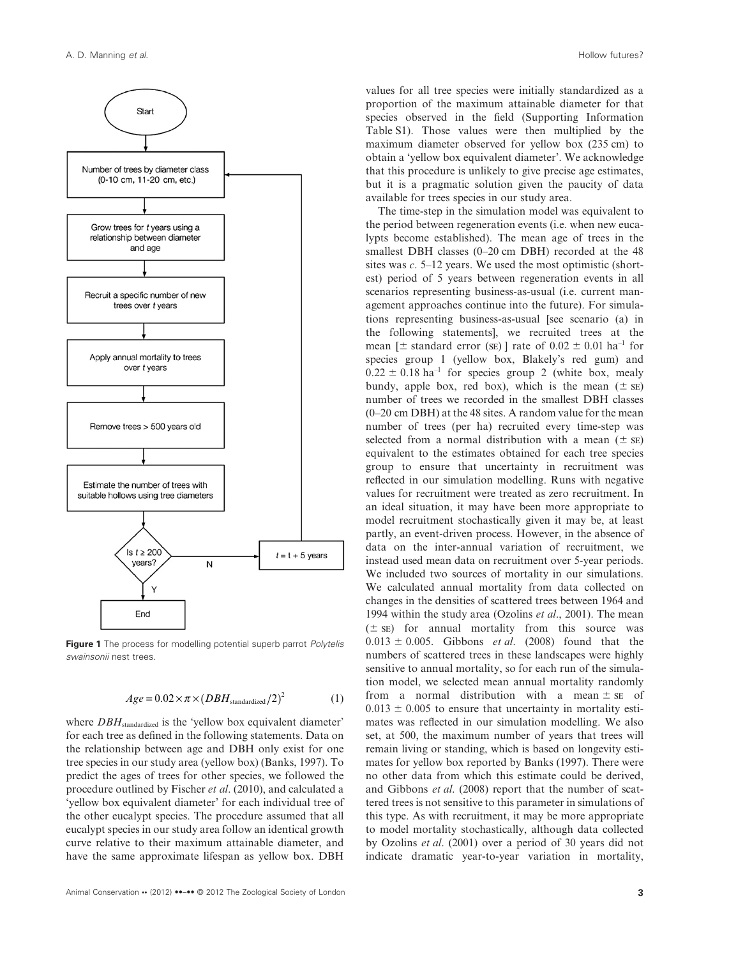

**Figure 1** The process for modelling potential superb parrot *Polytelis swainsonii* nest trees.

$$
Age = 0.02 \times \pi \times (DBH_{\text{standardized}}/2)^2
$$
 (1)

where *DBH*<sub>standardized</sub> is the 'yellow box equivalent diameter' for each tree as defined in the following statements. Data on the relationship between age and DBH only exist for one tree species in our study area (yellow box) (Banks, 1997). To predict the ages of trees for other species, we followed the procedure outlined by Fischer *et al*. (2010), and calculated a 'yellow box equivalent diameter' for each individual tree of the other eucalypt species. The procedure assumed that all eucalypt species in our study area follow an identical growth curve relative to their maximum attainable diameter, and have the same approximate lifespan as yellow box. DBH

values for all tree species were initially standardized as a proportion of the maximum attainable diameter for that species observed in the field (Supporting Information Table S1). Those values were then multiplied by the maximum diameter observed for yellow box (235 cm) to obtain a 'yellow box equivalent diameter'. We acknowledge that this procedure is unlikely to give precise age estimates, but it is a pragmatic solution given the paucity of data available for trees species in our study area.

The time-step in the simulation model was equivalent to the period between regeneration events (i.e. when new eucalypts become established). The mean age of trees in the smallest DBH classes (0–20 cm DBH) recorded at the 48 sites was *c*. 5–12 years. We used the most optimistic (shortest) period of 5 years between regeneration events in all scenarios representing business-as-usual (i.e. current management approaches continue into the future). For simulations representing business-as-usual [see scenario (a) in the following statements], we recruited trees at the mean [ $\pm$  standard error (se)] rate of  $0.02 \pm 0.01$  ha<sup>-1</sup> for species group 1 (yellow box, Blakely's red gum) and  $0.22 \pm 0.18$  ha<sup>-1</sup> for species group 2 (white box, mealy bundy, apple box, red box), which is the mean  $(\pm s)$ number of trees we recorded in the smallest DBH classes (0–20 cm DBH) at the 48 sites. A random value for the mean number of trees (per ha) recruited every time-step was selected from a normal distribution with a mean  $(\pm s)$ equivalent to the estimates obtained for each tree species group to ensure that uncertainty in recruitment was reflected in our simulation modelling. Runs with negative values for recruitment were treated as zero recruitment. In an ideal situation, it may have been more appropriate to model recruitment stochastically given it may be, at least partly, an event-driven process. However, in the absence of data on the inter-annual variation of recruitment, we instead used mean data on recruitment over 5-year periods. We included two sources of mortality in our simulations. We calculated annual mortality from data collected on changes in the densities of scattered trees between 1964 and 1994 within the study area (Ozolins *et al*., 2001). The mean  $(\pm s\varepsilon)$  for annual mortality from this source was  $0.013 \pm 0.005$ . Gibbons *et al.* (2008) found that the numbers of scattered trees in these landscapes were highly sensitive to annual mortality, so for each run of the simulation model, we selected mean annual mortality randomly from a normal distribution with a mean  $\pm$  se of  $0.013 \pm 0.005$  to ensure that uncertainty in mortality estimates was reflected in our simulation modelling. We also set, at 500, the maximum number of years that trees will remain living or standing, which is based on longevity estimates for yellow box reported by Banks (1997). There were no other data from which this estimate could be derived, and Gibbons *et al*. (2008) report that the number of scattered trees is not sensitive to this parameter in simulations of this type. As with recruitment, it may be more appropriate to model mortality stochastically, although data collected by Ozolins *et al*. (2001) over a period of 30 years did not indicate dramatic year-to-year variation in mortality,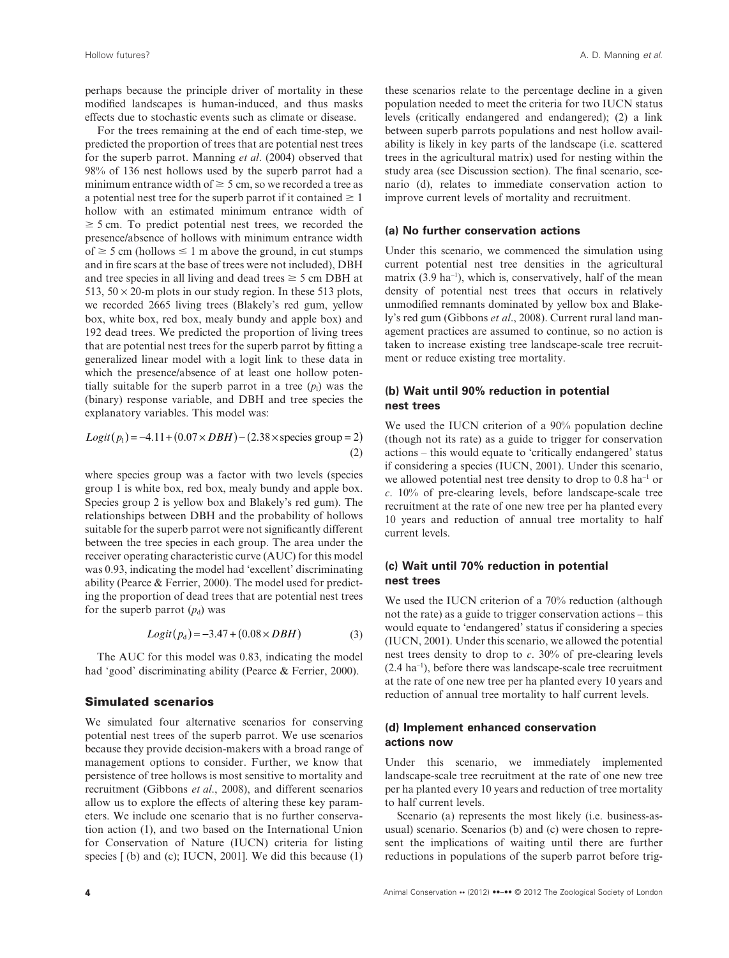perhaps because the principle driver of mortality in these modified landscapes is human-induced, and thus masks effects due to stochastic events such as climate or disease.

For the trees remaining at the end of each time-step, we predicted the proportion of trees that are potential nest trees for the superb parrot. Manning *et al*. (2004) observed that 98% of 136 nest hollows used by the superb parrot had a minimum entrance width of  $\geq$  5 cm, so we recorded a tree as a potential nest tree for the superb parrot if it contained  $\geq 1$ hollow with an estimated minimum entrance width of  $\geq$  5 cm. To predict potential nest trees, we recorded the presence/absence of hollows with minimum entrance width of  $\geq$  5 cm (hollows  $\leq$  1 m above the ground, in cut stumps and in fire scars at the base of trees were not included), DBH and tree species in all living and dead trees  $\geq$  5 cm DBH at 513,  $50 \times 20$ -m plots in our study region. In these 513 plots, we recorded 2665 living trees (Blakely's red gum, yellow box, white box, red box, mealy bundy and apple box) and 192 dead trees. We predicted the proportion of living trees that are potential nest trees for the superb parrot by fitting a generalized linear model with a logit link to these data in which the presence/absence of at least one hollow potentially suitable for the superb parrot in a tree  $(p_1)$  was the (binary) response variable, and DBH and tree species the explanatory variables. This model was:

$$
Logit(p_1) = -4.11 + (0.07 \times DBH) - (2.38 \times \text{species group} = 2)
$$
  
(2)

where species group was a factor with two levels (species group 1 is white box, red box, mealy bundy and apple box. Species group 2 is yellow box and Blakely's red gum). The relationships between DBH and the probability of hollows suitable for the superb parrot were not significantly different between the tree species in each group. The area under the receiver operating characteristic curve (AUC) for this model was 0.93, indicating the model had 'excellent' discriminating ability (Pearce & Ferrier, 2000). The model used for predicting the proportion of dead trees that are potential nest trees for the superb parrot  $(p_d)$  was

$$
Logit(pd) = -3.47 + (0.08 \times DBH)
$$
 (3)

The AUC for this model was 0.83, indicating the model had 'good' discriminating ability (Pearce & Ferrier, 2000).

#### **Simulated scenarios**

We simulated four alternative scenarios for conserving potential nest trees of the superb parrot. We use scenarios because they provide decision-makers with a broad range of management options to consider. Further, we know that persistence of tree hollows is most sensitive to mortality and recruitment (Gibbons *et al*., 2008), and different scenarios allow us to explore the effects of altering these key parameters. We include one scenario that is no further conservation action (1), and two based on the International Union for Conservation of Nature (IUCN) criteria for listing species  $[$  (b) and (c); IUCN, 2001]. We did this because  $(1)$  these scenarios relate to the percentage decline in a given population needed to meet the criteria for two IUCN status levels (critically endangered and endangered); (2) a link between superb parrots populations and nest hollow availability is likely in key parts of the landscape (i.e. scattered trees in the agricultural matrix) used for nesting within the study area (see Discussion section). The final scenario, scenario (d), relates to immediate conservation action to improve current levels of mortality and recruitment.

#### **(a) No further conservation actions**

Under this scenario, we commenced the simulation using current potential nest tree densities in the agricultural matrix  $(3.9 \text{ ha}^{-1})$ , which is, conservatively, half of the mean density of potential nest trees that occurs in relatively unmodified remnants dominated by yellow box and Blakely's red gum (Gibbons *et al*., 2008). Current rural land management practices are assumed to continue, so no action is taken to increase existing tree landscape-scale tree recruitment or reduce existing tree mortality.

### **(b) Wait until 90% reduction in potential nest trees**

We used the IUCN criterion of a 90% population decline (though not its rate) as a guide to trigger for conservation actions – this would equate to 'critically endangered' status if considering a species (IUCN, 2001). Under this scenario, we allowed potential nest tree density to drop to  $0.8$  ha<sup>-1</sup> or *c*. 10% of pre-clearing levels, before landscape-scale tree recruitment at the rate of one new tree per ha planted every 10 years and reduction of annual tree mortality to half current levels.

#### **(c) Wait until 70% reduction in potential nest trees**

We used the IUCN criterion of a 70% reduction (although not the rate) as a guide to trigger conservation actions – this would equate to 'endangered' status if considering a species (IUCN, 2001). Under this scenario, we allowed the potential nest trees density to drop to *c*. 30% of pre-clearing levels  $(2.4 \text{ ha}^{-1})$ , before there was landscape-scale tree recruitment at the rate of one new tree per ha planted every 10 years and reduction of annual tree mortality to half current levels.

#### **(d) Implement enhanced conservation actions now**

Under this scenario, we immediately implemented landscape-scale tree recruitment at the rate of one new tree per ha planted every 10 years and reduction of tree mortality to half current levels.

Scenario (a) represents the most likely (i.e. business-asusual) scenario. Scenarios (b) and (c) were chosen to represent the implications of waiting until there are further reductions in populations of the superb parrot before trig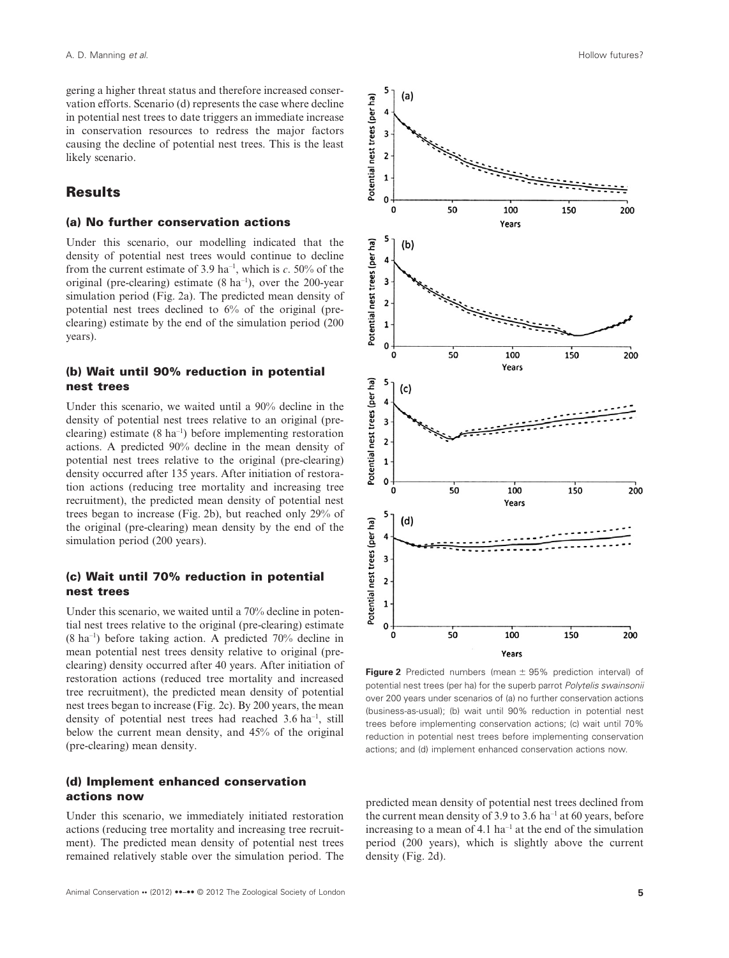gering a higher threat status and therefore increased conservation efforts. Scenario (d) represents the case where decline in potential nest trees to date triggers an immediate increase in conservation resources to redress the major factors causing the decline of potential nest trees. This is the least likely scenario.

## **Results**

### **(a) No further conservation actions**

Under this scenario, our modelling indicated that the density of potential nest trees would continue to decline from the current estimate of 3.9 ha–1, which is *c*. 50% of the original (pre-clearing) estimate  $(8 \text{ ha}^{-1})$ , over the 200-year simulation period (Fig. 2a). The predicted mean density of potential nest trees declined to 6% of the original (preclearing) estimate by the end of the simulation period (200 years).

### **(b) Wait until 90% reduction in potential nest trees**

Under this scenario, we waited until a 90% decline in the density of potential nest trees relative to an original (preclearing) estimate  $(8 \text{ ha}^{-1})$  before implementing restoration actions. A predicted 90% decline in the mean density of potential nest trees relative to the original (pre-clearing) density occurred after 135 years. After initiation of restoration actions (reducing tree mortality and increasing tree recruitment), the predicted mean density of potential nest trees began to increase (Fig. 2b), but reached only 29% of the original (pre-clearing) mean density by the end of the simulation period (200 years).

### **(c) Wait until 70% reduction in potential nest trees**

Under this scenario, we waited until a 70% decline in potential nest trees relative to the original (pre-clearing) estimate  $(8 \text{ ha}^{-1})$  before taking action. A predicted  $70\%$  decline in mean potential nest trees density relative to original (preclearing) density occurred after 40 years. After initiation of restoration actions (reduced tree mortality and increased tree recruitment), the predicted mean density of potential nest trees began to increase (Fig. 2c). By 200 years, the mean density of potential nest trees had reached 3.6 ha–1, still below the current mean density, and 45% of the original (pre-clearing) mean density.

#### **(d) Implement enhanced conservation actions now**

Under this scenario, we immediately initiated restoration actions (reducing tree mortality and increasing tree recruitment). The predicted mean density of potential nest trees remained relatively stable over the simulation period. The



**Figure 2** Predicted numbers (mean  $\pm$  95% prediction interval) of potential nest trees (per ha) for the superb parrot *Polytelis swainsonii* over 200 years under scenarios of (a) no further conservation actions (business-as-usual); (b) wait until 90% reduction in potential nest trees before implementing conservation actions; (c) wait until 70% reduction in potential nest trees before implementing conservation actions; and (d) implement enhanced conservation actions now.

predicted mean density of potential nest trees declined from the current mean density of 3.9 to 3.6  $ha^{-1}$  at 60 years, before increasing to a mean of  $4.1$  ha<sup>-1</sup> at the end of the simulation period (200 years), which is slightly above the current density (Fig. 2d).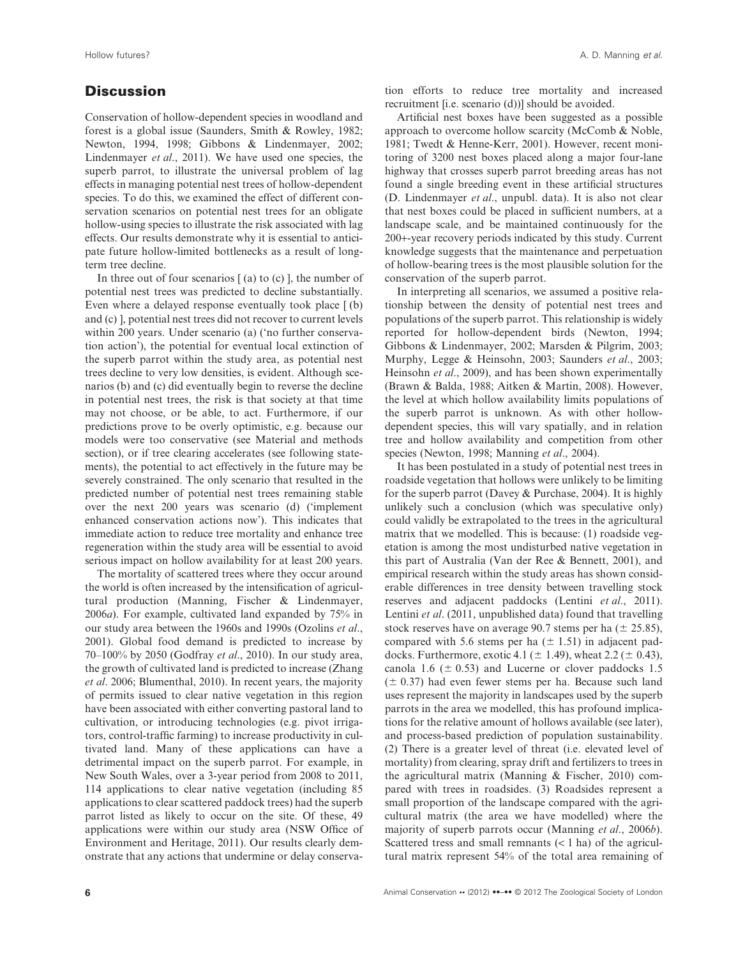# **Discussion**

Conservation of hollow-dependent species in woodland and forest is a global issue (Saunders, Smith & Rowley, 1982; Newton, 1994, 1998; Gibbons & Lindenmayer, 2002; Lindenmayer *et al*., 2011). We have used one species, the superb parrot, to illustrate the universal problem of lag effects in managing potential nest trees of hollow-dependent species. To do this, we examined the effect of different conservation scenarios on potential nest trees for an obligate hollow-using species to illustrate the risk associated with lag effects. Our results demonstrate why it is essential to anticipate future hollow-limited bottlenecks as a result of longterm tree decline.

In three out of four scenarios  $(a)$  to  $(c)$ , the number of potential nest trees was predicted to decline substantially. Even where a delayed response eventually took place [ (b) and (c) ], potential nest trees did not recover to current levels within 200 years. Under scenario (a) ('no further conservation action'), the potential for eventual local extinction of the superb parrot within the study area, as potential nest trees decline to very low densities, is evident. Although scenarios (b) and (c) did eventually begin to reverse the decline in potential nest trees, the risk is that society at that time may not choose, or be able, to act. Furthermore, if our predictions prove to be overly optimistic, e.g. because our models were too conservative (see Material and methods section), or if tree clearing accelerates (see following statements), the potential to act effectively in the future may be severely constrained. The only scenario that resulted in the predicted number of potential nest trees remaining stable over the next 200 years was scenario (d) ('implement enhanced conservation actions now'). This indicates that immediate action to reduce tree mortality and enhance tree regeneration within the study area will be essential to avoid serious impact on hollow availability for at least 200 years.

The mortality of scattered trees where they occur around the world is often increased by the intensification of agricultural production (Manning, Fischer & Lindenmayer, 2006*a*). For example, cultivated land expanded by 75% in our study area between the 1960s and 1990s (Ozolins *et al*., 2001). Global food demand is predicted to increase by 70–100% by 2050 (Godfray *et al*., 2010). In our study area, the growth of cultivated land is predicted to increase (Zhang *et al*. 2006; Blumenthal, 2010). In recent years, the majority of permits issued to clear native vegetation in this region have been associated with either converting pastoral land to cultivation, or introducing technologies (e.g. pivot irrigators, control-traffic farming) to increase productivity in cultivated land. Many of these applications can have a detrimental impact on the superb parrot. For example, in New South Wales, over a 3-year period from 2008 to 2011, 114 applications to clear native vegetation (including 85 applications to clear scattered paddock trees) had the superb parrot listed as likely to occur on the site. Of these, 49 applications were within our study area (NSW Office of Environment and Heritage, 2011). Our results clearly demonstrate that any actions that undermine or delay conservation efforts to reduce tree mortality and increased recruitment [i.e. scenario (d))] should be avoided.

Artificial nest boxes have been suggested as a possible approach to overcome hollow scarcity (McComb & Noble, 1981; Twedt & Henne-Kerr, 2001). However, recent monitoring of 3200 nest boxes placed along a major four-lane highway that crosses superb parrot breeding areas has not found a single breeding event in these artificial structures (D. Lindenmayer *et al*., unpubl. data). It is also not clear that nest boxes could be placed in sufficient numbers, at a landscape scale, and be maintained continuously for the 200+-year recovery periods indicated by this study. Current knowledge suggests that the maintenance and perpetuation of hollow-bearing trees is the most plausible solution for the conservation of the superb parrot.

In interpreting all scenarios, we assumed a positive relationship between the density of potential nest trees and populations of the superb parrot. This relationship is widely reported for hollow-dependent birds (Newton, 1994; Gibbons & Lindenmayer, 2002; Marsden & Pilgrim, 2003; Murphy, Legge & Heinsohn, 2003; Saunders *et al*., 2003; Heinsohn *et al*., 2009), and has been shown experimentally (Brawn & Balda, 1988; Aitken & Martin, 2008). However, the level at which hollow availability limits populations of the superb parrot is unknown. As with other hollowdependent species, this will vary spatially, and in relation tree and hollow availability and competition from other species (Newton, 1998; Manning *et al*., 2004).

It has been postulated in a study of potential nest trees in roadside vegetation that hollows were unlikely to be limiting for the superb parrot (Davey & Purchase, 2004). It is highly unlikely such a conclusion (which was speculative only) could validly be extrapolated to the trees in the agricultural matrix that we modelled. This is because: (1) roadside vegetation is among the most undisturbed native vegetation in this part of Australia (Van der Ree & Bennett, 2001), and empirical research within the study areas has shown considerable differences in tree density between travelling stock reserves and adjacent paddocks (Lentini *et al*., 2011). Lentini *et al*. (2011, unpublished data) found that travelling stock reserves have on average 90.7 stems per ha ( $\pm$  25.85), compared with 5.6 stems per ha  $(\pm 1.51)$  in adjacent paddocks. Furthermore, exotic 4.1 ( $\pm$  1.49), wheat 2.2 ( $\pm$  0.43), canola 1.6 ( $\pm$  0.53) and Lucerne or clover paddocks 1.5  $(\pm 0.37)$  had even fewer stems per ha. Because such land uses represent the majority in landscapes used by the superb parrots in the area we modelled, this has profound implications for the relative amount of hollows available (see later), and process-based prediction of population sustainability. (2) There is a greater level of threat (i.e. elevated level of mortality) from clearing, spray drift and fertilizers to trees in the agricultural matrix (Manning & Fischer, 2010) compared with trees in roadsides. (3) Roadsides represent a small proportion of the landscape compared with the agricultural matrix (the area we have modelled) where the majority of superb parrots occur (Manning *et al*., 2006*b*). Scattered tress and small remnants  $(< 1$  ha) of the agricultural matrix represent 54% of the total area remaining of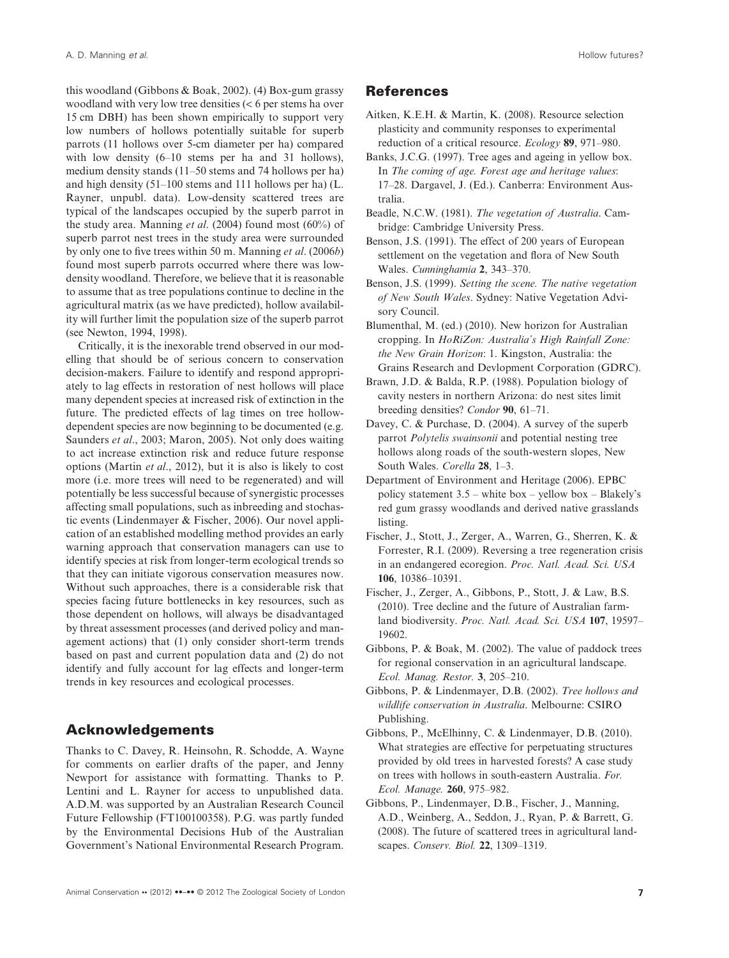this woodland (Gibbons & Boak, 2002). (4) Box-gum grassy woodland with very low tree densities (< 6 per stems ha over 15 cm DBH) has been shown empirically to support very low numbers of hollows potentially suitable for superb parrots (11 hollows over 5-cm diameter per ha) compared with low density (6–10 stems per ha and 31 hollows), medium density stands (11–50 stems and 74 hollows per ha) and high density (51–100 stems and 111 hollows per ha) (L. Rayner, unpubl. data). Low-density scattered trees are typical of the landscapes occupied by the superb parrot in the study area. Manning *et al*. (2004) found most (60%) of superb parrot nest trees in the study area were surrounded by only one to five trees within 50 m. Manning *et al*. (2006*b*) found most superb parrots occurred where there was lowdensity woodland. Therefore, we believe that it is reasonable to assume that as tree populations continue to decline in the agricultural matrix (as we have predicted), hollow availability will further limit the population size of the superb parrot (see Newton, 1994, 1998).

Critically, it is the inexorable trend observed in our modelling that should be of serious concern to conservation decision-makers. Failure to identify and respond appropriately to lag effects in restoration of nest hollows will place many dependent species at increased risk of extinction in the future. The predicted effects of lag times on tree hollowdependent species are now beginning to be documented (e.g. Saunders *et al*., 2003; Maron, 2005). Not only does waiting to act increase extinction risk and reduce future response options (Martin *et al*., 2012), but it is also is likely to cost more (i.e. more trees will need to be regenerated) and will potentially be less successful because of synergistic processes affecting small populations, such as inbreeding and stochastic events (Lindenmayer & Fischer, 2006). Our novel application of an established modelling method provides an early warning approach that conservation managers can use to identify species at risk from longer-term ecological trends so that they can initiate vigorous conservation measures now. Without such approaches, there is a considerable risk that species facing future bottlenecks in key resources, such as those dependent on hollows, will always be disadvantaged by threat assessment processes (and derived policy and management actions) that (1) only consider short-term trends based on past and current population data and (2) do not identify and fully account for lag effects and longer-term trends in key resources and ecological processes.

# **Acknowledgements**

Thanks to C. Davey, R. Heinsohn, R. Schodde, A. Wayne for comments on earlier drafts of the paper, and Jenny Newport for assistance with formatting. Thanks to P. Lentini and L. Rayner for access to unpublished data. A.D.M. was supported by an Australian Research Council Future Fellowship (FT100100358). P.G. was partly funded by the Environmental Decisions Hub of the Australian Government's National Environmental Research Program.

#### **References**

- Aitken, K.E.H. & Martin, K. (2008). Resource selection plasticity and community responses to experimental reduction of a critical resource. *Ecology* **89**, 971–980.
- Banks, J.C.G. (1997). Tree ages and ageing in yellow box. In *The coming of age. Forest age and heritage values*: 17–28. Dargavel, J. (Ed.). Canberra: Environment Australia.
- Beadle, N.C.W. (1981). *The vegetation of Australia*. Cambridge: Cambridge University Press.
- Benson, J.S. (1991). The effect of 200 years of European settlement on the vegetation and flora of New South Wales. *Cunninghamia* **2**, 343–370.
- Benson, J.S. (1999). *Setting the scene. The native vegetation of New South Wales*. Sydney: Native Vegetation Advisory Council.
- Blumenthal, M. (ed.) (2010). New horizon for Australian cropping. In *HoRiZon: Australia's High Rainfall Zone: the New Grain Horizon*: 1. Kingston, Australia: the Grains Research and Devlopment Corporation (GDRC).
- Brawn, J.D. & Balda, R.P. (1988). Population biology of cavity nesters in northern Arizona: do nest sites limit breeding densities? *Condor* **90**, 61–71.
- Davey, C. & Purchase, D. (2004). A survey of the superb parrot *Polytelis swainsonii* and potential nesting tree hollows along roads of the south-western slopes, New South Wales. *Corella* **28**, 1–3.
- Department of Environment and Heritage (2006). EPBC policy statement  $3.5$  – white box – yellow box – Blakely's red gum grassy woodlands and derived native grasslands listing.
- Fischer, J., Stott, J., Zerger, A., Warren, G., Sherren, K. & Forrester, R.I. (2009). Reversing a tree regeneration crisis in an endangered ecoregion. *Proc. Natl. Acad. Sci. USA* **106**, 10386–10391.
- Fischer, J., Zerger, A., Gibbons, P., Stott, J. & Law, B.S. (2010). Tree decline and the future of Australian farmland biodiversity. *Proc. Natl. Acad. Sci. USA* **107**, 19597– 19602.
- Gibbons, P. & Boak, M. (2002). The value of paddock trees for regional conservation in an agricultural landscape. *Ecol. Manag. Restor.* **3**, 205–210.
- Gibbons, P. & Lindenmayer, D.B. (2002). *Tree hollows and wildlife conservation in Australia*. Melbourne: CSIRO Publishing.
- Gibbons, P., McElhinny, C. & Lindenmayer, D.B. (2010). What strategies are effective for perpetuating structures provided by old trees in harvested forests? A case study on trees with hollows in south-eastern Australia. *For. Ecol. Manage.* **260**, 975–982.
- Gibbons, P., Lindenmayer, D.B., Fischer, J., Manning, A.D., Weinberg, A., Seddon, J., Ryan, P. & Barrett, G. (2008). The future of scattered trees in agricultural landscapes. *Conserv. Biol.* **22**, 1309–1319.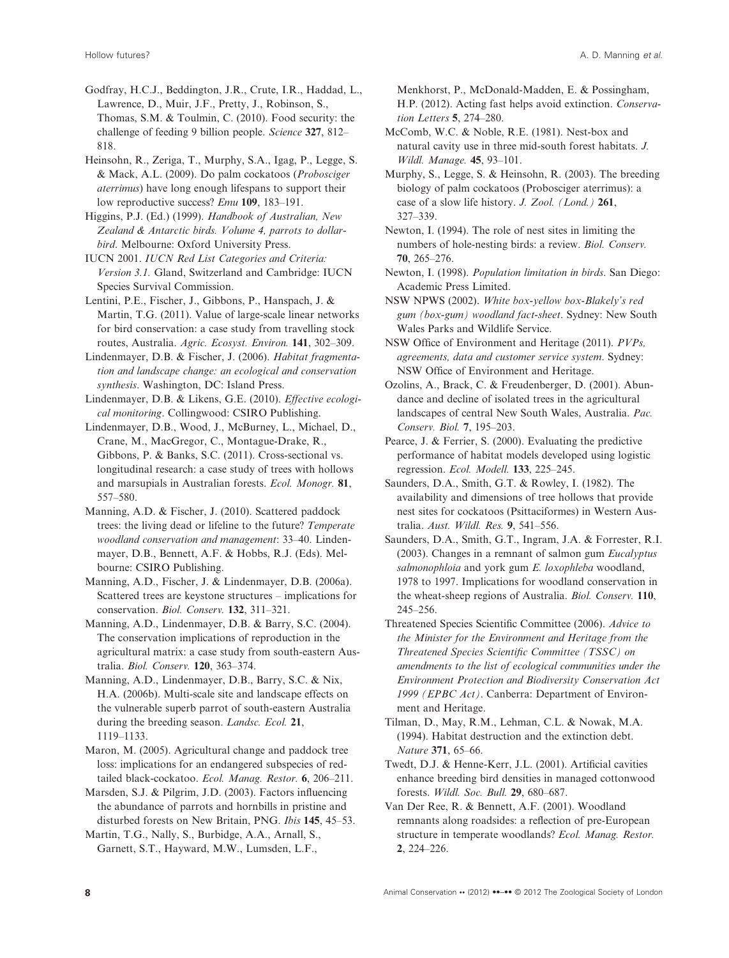Godfray, H.C.J., Beddington, J.R., Crute, I.R., Haddad, L., Lawrence, D., Muir, J.F., Pretty, J., Robinson, S., Thomas, S.M. & Toulmin, C. (2010). Food security: the challenge of feeding 9 billion people. *Science* **327**, 812– 818.

Heinsohn, R., Zeriga, T., Murphy, S.A., Igag, P., Legge, S. & Mack, A.L. (2009). Do palm cockatoos (*Probosciger aterrimus*) have long enough lifespans to support their low reproductive success? *Emu* **109**, 183–191.

Higgins, P.J. (Ed.) (1999). *Handbook of Australian, New Zealand & Antarctic birds. Volume 4, parrots to dollarbird*. Melbourne: Oxford University Press.

IUCN 2001. *IUCN Red List Categories and Criteria: Version 3.1.* Gland, Switzerland and Cambridge: IUCN Species Survival Commission.

Lentini, P.E., Fischer, J., Gibbons, P., Hanspach, J. & Martin, T.G. (2011). Value of large-scale linear networks for bird conservation: a case study from travelling stock routes, Australia. *Agric. Ecosyst. Environ.* **141**, 302–309.

Lindenmayer, D.B. & Fischer, J. (2006). *Habitat fragmentation and landscape change: an ecological and conservation synthesis*. Washington, DC: Island Press.

Lindenmayer, D.B. & Likens, G.E. (2010). *Effective ecological monitoring*. Collingwood: CSIRO Publishing.

Lindenmayer, D.B., Wood, J., McBurney, L., Michael, D., Crane, M., MacGregor, C., Montague-Drake, R., Gibbons, P. & Banks, S.C. (2011). Cross-sectional vs. longitudinal research: a case study of trees with hollows and marsupials in Australian forests. *Ecol. Monogr.* **81**, 557–580.

Manning, A.D. & Fischer, J. (2010). Scattered paddock trees: the living dead or lifeline to the future? *Temperate woodland conservation and management*: 33–40. Lindenmayer, D.B., Bennett, A.F. & Hobbs, R.J. (Eds). Melbourne: CSIRO Publishing.

Manning, A.D., Fischer, J. & Lindenmayer, D.B. (2006a). Scattered trees are keystone structures – implications for conservation. *Biol. Conserv.* **132**, 311–321.

Manning, A.D., Lindenmayer, D.B. & Barry, S.C. (2004). The conservation implications of reproduction in the agricultural matrix: a case study from south-eastern Australia. *Biol. Conserv.* **120**, 363–374.

Manning, A.D., Lindenmayer, D.B., Barry, S.C. & Nix, H.A. (2006b). Multi-scale site and landscape effects on the vulnerable superb parrot of south-eastern Australia during the breeding season. *Landsc. Ecol.* **21**, 1119–1133.

Maron, M. (2005). Agricultural change and paddock tree loss: implications for an endangered subspecies of redtailed black-cockatoo. *Ecol. Manag. Restor.* **6**, 206–211.

Marsden, S.J. & Pilgrim, J.D. (2003). Factors influencing the abundance of parrots and hornbills in pristine and disturbed forests on New Britain, PNG. *Ibis* **145**, 45–53.

Martin, T.G., Nally, S., Burbidge, A.A., Arnall, S., Garnett, S.T., Hayward, M.W., Lumsden, L.F.,

Menkhorst, P., McDonald-Madden, E. & Possingham, H.P. (2012). Acting fast helps avoid extinction. *Conservation Letters* **5**, 274–280.

McComb, W.C. & Noble, R.E. (1981). Nest-box and natural cavity use in three mid-south forest habitats. *J. Wildl. Manage.* **45**, 93–101.

Murphy, S., Legge, S. & Heinsohn, R. (2003). The breeding biology of palm cockatoos (Probosciger aterrimus): a case of a slow life history. *J. Zool. (Lond.)* **261**, 327–339.

Newton, I. (1994). The role of nest sites in limiting the numbers of hole-nesting birds: a review. *Biol. Conserv.* **70**, 265–276.

Newton, I. (1998). *Population limitation in birds*. San Diego: Academic Press Limited.

NSW NPWS (2002). *White box-yellow box-Blakely's red gum (box-gum) woodland fact-sheet*. Sydney: New South Wales Parks and Wildlife Service.

NSW Office of Environment and Heritage (2011). *PVPs, agreements, data and customer service system*. Sydney: NSW Office of Environment and Heritage.

Ozolins, A., Brack, C. & Freudenberger, D. (2001). Abundance and decline of isolated trees in the agricultural landscapes of central New South Wales, Australia. *Pac. Conserv. Biol.* **7**, 195–203.

Pearce, J. & Ferrier, S. (2000). Evaluating the predictive performance of habitat models developed using logistic regression. *Ecol. Modell.* **133**, 225–245.

Saunders, D.A., Smith, G.T. & Rowley, I. (1982). The availability and dimensions of tree hollows that provide nest sites for cockatoos (Psittaciformes) in Western Australia. *Aust. Wildl. Res.* **9**, 541–556.

Saunders, D.A., Smith, G.T., Ingram, J.A. & Forrester, R.I. (2003). Changes in a remnant of salmon gum *Eucalyptus salmonophloia* and york gum *E. loxophleba* woodland, 1978 to 1997. Implications for woodland conservation in the wheat-sheep regions of Australia. *Biol. Conserv.* **110**, 245–256.

Threatened Species Scientific Committee (2006). *Advice to the Minister for the Environment and Heritage from the Threatened Species Scientific Committee (TSSC) on amendments to the list of ecological communities under the Environment Protection and Biodiversity Conservation Act 1999 (EPBC Act)*. Canberra: Department of Environment and Heritage.

Tilman, D., May, R.M., Lehman, C.L. & Nowak, M.A. (1994). Habitat destruction and the extinction debt. *Nature* **371**, 65–66.

Twedt, D.J. & Henne-Kerr, J.L. (2001). Artificial cavities enhance breeding bird densities in managed cottonwood forests. *Wildl. Soc. Bull.* **29**, 680–687.

Van Der Ree, R. & Bennett, A.F. (2001). Woodland remnants along roadsides: a reflection of pre-European structure in temperate woodlands? *Ecol. Manag. Restor.* **2**, 224–226.